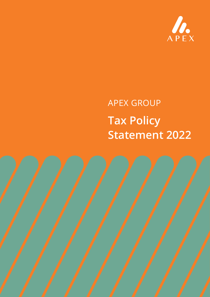

# APEX GROUP **Tax Policy Statement 2022**

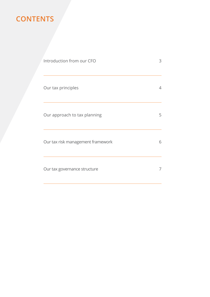# **CONTENTS**

| Introduction from our CFO         | 3 |
|-----------------------------------|---|
| Our tax principles                | 4 |
| Our approach to tax planning      | 5 |
| Our tax risk management framework | 6 |
| Our tax governance structure      | 7 |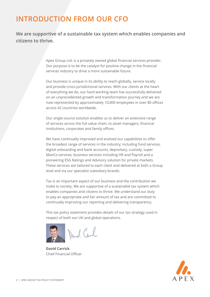# **INTRODUCTION FROM OUR CFO**

**We are supportive of a sustainable tax system which enables companies and citizens to thrive.**

> Apex Group Ltd. is a privately owned global financial services provider. Our purpose is to be the catalyst for positive change in the financial services industry to drive a more sustainable future.

Our business is unique in its ability to reach globally, service locally and provide cross-jurisdictional services. With our clients at the heart of everything we do, our hard working team has successfully delivered on an unprecedented growth and transformation journey and we are now represented by approximately 10,000 employees in over 80 offices across 42 countries worldwide.

Our single-source solution enables us to deliver an extensive range of services across the full value chain, to asset managers, financial institutions, corporates and family offices.

We have continually improved and evolved our capabilities to offer the broadest range of services in the industry; including fund services, digital onboarding and bank accounts, depositary, custody, super ManCo services, business services including HR and Payroll and a pioneering ESG Ratings and Advisory solution for private markets. These services are tailored to each client and delivered at both a Group level and via our specialist subsidiary brands.

Tax is an important aspect of our business and the contribution we make to society. We are supportive of a sustainable tax system which enables companies and citizens to thrive. We understand our duty to pay an appropriate and fair amount of tax and are committed to continually improving our reporting and delivering transparency.

This tax policy statement provides details of our tax strategy used in respect of both our UK and global operations.



**David Carrick** Chief Financial Officer

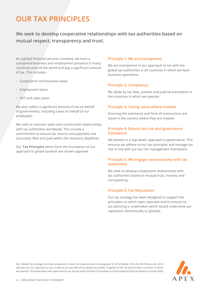# **OUR TAX PRINCIPLES**

**We seek to develop cooperative relationships with tax authorities based on mutual respect, transparency and trust.**

As a global financial services company, we have a substantial business and employment presence in many countries around the world and pay a significant amount of tax. This includes:

- Corporation and business taxes
- Employment taxes
- VAT and sales taxes

We also collect a significant amount of tax on behalf of governments, including taxes on behalf of our employees.

We seek to maintain open and constructive relationships with tax authorities worldwide. This include a commitment to ensure tax returns and payments are accurately filed and paid within the statutory deadlines.

Our **Tax Principles** which form the foundation of our approach to global taxation are shown opposite.

### **Principle 1: We are transparent**

We are transparent in our approach to tax with the global tax authorities in all countries in which we have business operations.

## **Principle 2: Compliance**

We abide by tax laws, policies and judicial precedents in the countries in which we operate.

## **Principle 3: Taxing value where created**

Ensuring the substance and form of transactions are taxed in the country where they are created.

## **Principle 4: Robust tax risk and governance framework**

We believe in a 'top-down' approach to governance. This ensures we adhere to our tax principles and manage tax risk in line with our tax risk management framework.

# **Principle 5: We engage constructively with tax authorities**

We seek to develop cooperative relationships with tax authorities based on mutual trust, honesty and transparency.

## **Principle 6: Tax Reputation**

Our tax strategy has been designed to support the principles on which Apex operates and to ensure no tax planning is undertaken which would undermine our reputation domestically or globally.

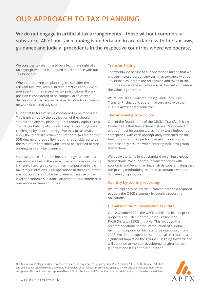# **OUR APPROACH TO TAX PLANNING**

**We do not engage in artificial tax arrangements – those without commercial substance. All of our tax planning is undertaken in accordance with the tax laws, guidance and judicial precedents in the respective countries where we operate.**

We consider tax planning to be a legitimate right of a taxpayer provided it is pursued in accordance with our Tax Principles.

When undertaking tax planning, we consider the relevant tax laws, administrative practices and judicial precedents in the respective tax jurisdictions. If a tax position is considered to be complex or to carry a degree of risk, we rely on third party tax advice from our network of trusted advisors.

Our appetite for tax risk is considered to be moderate. This is governed by the application of the 'should' standard to any tax planning. This broadly equates to a 70-80% probability of success if any tax planning were challenged by a tax authority. We may occasionally apply the 'more likely than not' standard' (a greater than 50% degree of probability), but this is considered to be the minimum threshold which must be satisfied before we engage in any tax planning.

A consequence of our business strategy to have local operating entities in the same jurisdictions as our clients is that we have group companies incorporated in low tax rate jurisdictions. Our operations in these countries are not considered to be tax planning because of the level of economic substance attached to our commercial operations in these countries.

# **Transfer Pricing**

The worldwide nature of our operations means that we engage in cross-border services. In accordance with our Tax Principles, profits are recognized and taxed in the countries where the activities are performed and where the value is generated.

We follow OECD Transfer Pricing Guidelines. Our Transfer Pricing policies are in accordance with the OECD's 'arms-length' principle.

# **The 'arms-length' principle**

One of the foundations of the OECD's Transfer Pricing Guidelines is that transactions between 'associated entities' must be conducted as if they were independent enterprises, with each appropriately rewarded for the functions which they perform, assets they employ, and risks they assume when entering into intra-group transactions.

We apply the arms-length standard on all intra-group transactions. We support our transfer prices with economic and benchmarking analysis substantiating that our pricing methodologies are in accordance with the 'arms-length' principle.

## **Country-by-country reporting**

We are currently below the turnover threshold required to apply the OECD's country-by-country reporting obligations.

# **Global Minimum Corporation Tax Rate**

On 12 October 2020, the OECD published its blueprint proposals on Pillar 2 of the Based Erosion and Profit Shifting (BEPS) initiative. This included the recommendations for the introduction of a global minimum corporation tax rate to be introduced from 2023. We do not expect these proposals to result in a significant impact on the groups ETR going forward, and will continue to monitor developments after further guidance and legislation is published

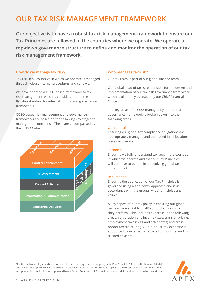# **OUR TAX RISK MANAGEMENT FRAMEWORK**

**Our objective is to have a robust tax risk management framework to ensure our Tax Principles are followed in the countries where we operate. We operate a top-down governance structure to define and monitor the operation of our tax risk management framework.**

#### **How do we manage tax risk?**

Tax risk in all countries in which we operate is managed through robust internal procedures and controls.

We have adopted a COSO based framework to tax risk management, which is considered to be the flagship standard for internal control and governance frameworks.

COSO based risk management and governance frameworks are based on the following key stages to manage and control risk. These are encompassed by the 'COSO Cube'.



### **Who manages tax risk?**

Our tax team is part of our global finance team.

Our global head of tax is responsible for the design and implementation of our tax risk governance framework, which is ultimately overseen by our Chief Financial Officer.

The key areas of tax risk managed by our tax risk governance framework is broken down into the following areas.

#### **Operational**

Ensuring our global tax compliance obligations are appropriately managed and controlled in all locations were we operate.

### **Technical**

Ensuring we fully understand tax laws in the counties in which we operate and that our Tax Principles will continue to be met in an evolving global tax environment.

#### Reputational

Ensuring the application of our Tax Principles is governed using a 'top-down' approach and is in accordance with the groups' wider principles and values.

A key aspect of our tax policy is ensuring our global tax team are suitably qualified for the roles which they perform. This includes expertise in the following areas: corporation and income taxes; transfer pricing; employment taxes; VAT and sales taxes; and crossborder tax structuring. Our in-house tax expertise is supported by external tax advice from our network of trusted advisors.